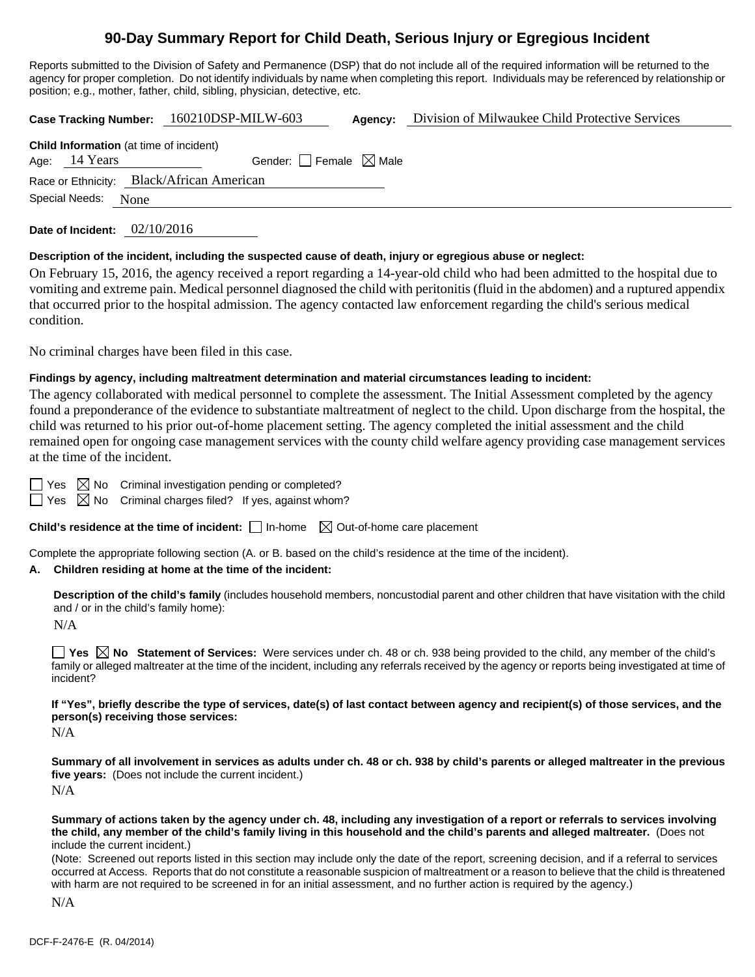# **90-Day Summary Report for Child Death, Serious Injury or Egregious Incident**

Reports submitted to the Division of Safety and Permanence (DSP) that do not include all of the required information will be returned to the agency for proper completion. Do not identify individuals by name when completing this report. Individuals may be referenced by relationship or position; e.g., mother, father, child, sibling, physician, detective, etc.

**Case Tracking Number:** 160210DSP-MILW-603 Agency: Division of Milwaukee Child Protective Services

| <b>Child Information</b> (at time of incident) |  |                                        |  |  |  |  |
|------------------------------------------------|--|----------------------------------------|--|--|--|--|
| Age: 14 Years                                  |  | Gender: $\Box$ Female $\boxtimes$ Male |  |  |  |  |
| Race or Ethnicity: Black/African American      |  |                                        |  |  |  |  |
| Special Needs:<br>None                         |  |                                        |  |  |  |  |
|                                                |  |                                        |  |  |  |  |

**Date of Incident:** 02/10/2016

# **Description of the incident, including the suspected cause of death, injury or egregious abuse or neglect:**

On February 15, 2016, the agency received a report regarding a 14-year-old child who had been admitted to the hospital due to vomiting and extreme pain. Medical personnel diagnosed the child with peritonitis (fluid in the abdomen) and a ruptured appendix that occurred prior to the hospital admission. The agency contacted law enforcement regarding the child's serious medical condition.

No criminal charges have been filed in this case.

# **Findings by agency, including maltreatment determination and material circumstances leading to incident:**

The agency collaborated with medical personnel to complete the assessment. The Initial Assessment completed by the agency found a preponderance of the evidence to substantiate maltreatment of neglect to the child. Upon discharge from the hospital, the child was returned to his prior out-of-home placement setting. The agency completed the initial assessment and the child remained open for ongoing case management services with the county child welfare agency providing case management services at the time of the incident.

 $\Box$  Yes  $\boxtimes$  No Criminal investigation pending or completed?

 $\Box$  Yes  $\boxtimes$  No Criminal charges filed? If yes, against whom?

**Child's residence at the time of incident:**  $\Box$  In-home  $\Box$  Out-of-home care placement

Complete the appropriate following section (A. or B. based on the child's residence at the time of the incident).

# **A. Children residing at home at the time of the incident:**

**Description of the child's family** (includes household members, noncustodial parent and other children that have visitation with the child and / or in the child's family home):

N/A

**Yes No** Statement of Services: Were services under ch. 48 or ch. 938 being provided to the child, any member of the child's family or alleged maltreater at the time of the incident, including any referrals received by the agency or reports being investigated at time of incident?

**If "Yes", briefly describe the type of services, date(s) of last contact between agency and recipient(s) of those services, and the person(s) receiving those services:** 

N/A

**Summary of all involvement in services as adults under ch. 48 or ch. 938 by child's parents or alleged maltreater in the previous five years:** (Does not include the current incident.) N/A

**Summary of actions taken by the agency under ch. 48, including any investigation of a report or referrals to services involving the child, any member of the child's family living in this household and the child's parents and alleged maltreater.** (Does not include the current incident.)

(Note: Screened out reports listed in this section may include only the date of the report, screening decision, and if a referral to services occurred at Access. Reports that do not constitute a reasonable suspicion of maltreatment or a reason to believe that the child is threatened with harm are not required to be screened in for an initial assessment, and no further action is required by the agency.)

N/A